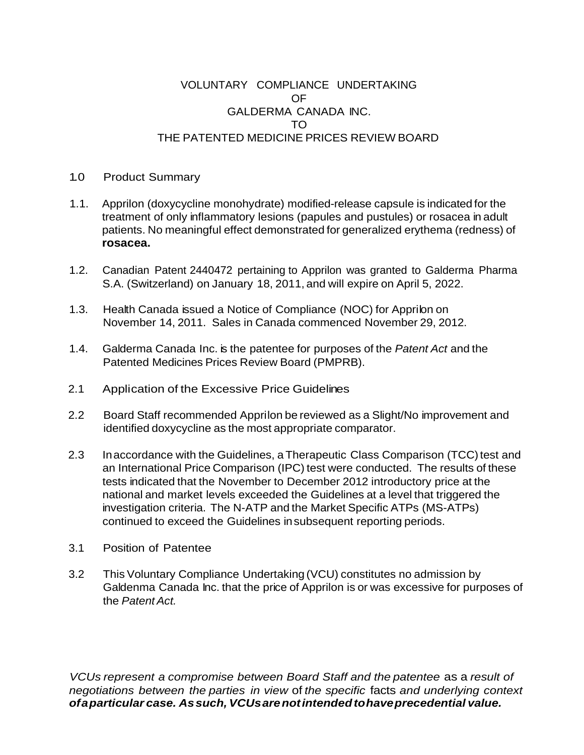## VOLUNTARY COMPLIANCE UNDERTAKING OF GALDERMA CANADA INC. TO THE PATENTED MEDICINE PRICES REVIEW BOARD

## 1.0 Product Summary

- 1.1. Apprilon (doxycycline monohydrate) modified-release capsule is indicated for the treatment of only inflammatory lesions (papules and pustules) or rosacea in adult patients. No meaningful effect demonstrated for generalized erythema (redness) of **rosacea.**
- 1.2. Canadian Patent 2440472 pertaining to Apprilon was granted to Galderma Pharma S.A. (Switzerland) on January 18, 2011, and will expire on April 5, 2022.
- 1.3. Health Canada issued a Notice of Compliance (NOC) for Apprilon on November 14, 2011. Sales in Canada commenced November 29, 2012.
- 1.4. Galderma Canada Inc. is the patentee for purposes of the *Patent Act* and the Patented Medicines Prices Review Board (PMPRB).
- 2.1 Application of the Excessive Price Guidelines
- 2.2 Board Staff recommended Apprilon be reviewed as a Slight/No improvement and identified doxycycline as the most appropriate comparator.
- 2.3 In accordance with the Guidelines, a Therapeutic Class Comparison (TCC) test and an International Price Comparison (IPC) test were conducted. The results of these tests indicated that the November to December 2012 introductory price at the national and market levels exceeded the Guidelines at a level that triggered the investigation criteria. The N-ATP and the Market Specific ATPs (MS-ATPs) continued to exceed the Guidelines insubsequent reporting periods.
- 3.1 Position of Patentee
- 3.2 This Voluntary Compliance Undertaking (VCU) constitutes no admission by Galdenma Canada Inc. that the price of Apprilon is or was excessive for purposes of the *Patent Act.*

*VCUs represent a compromise between Board Staff and the patentee* as a *result of negotiations between the parties in view* of *the specific* facts *and underlying context ofaparticular case. Assuch, VCUsarenotintendedtohaveprecedential value.*